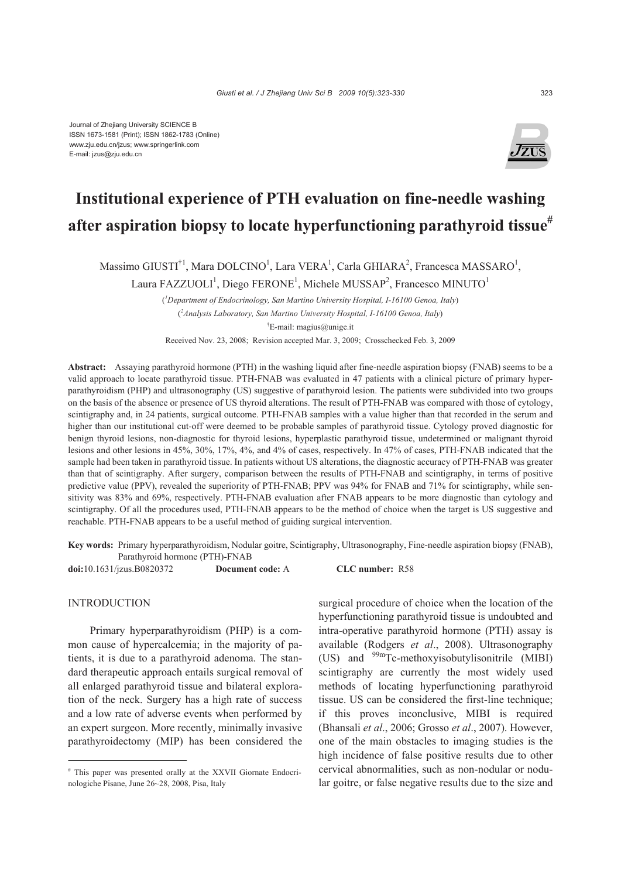Journal of Zhejiang University SCIENCE B ISSN 1673-1581 (Print); ISSN 1862-1783 (Online) www.zju.edu.cn/jzus; www.springerlink.com E-mail: jzus@zju.edu.cn



# **Institutional experience of PTH evaluation on fine-needle washing after aspiration biopsy to locate hyperfunctioning parathyroid tissue#**

Massimo GIUSTI<sup>†1</sup>, Mara DOLCINO<sup>1</sup>, Lara VERA<sup>1</sup>, Carla GHIARA<sup>2</sup>, Francesca MASSARO<sup>1</sup>,

Laura FAZZUOLI<sup>1</sup>, Diego FERONE<sup>1</sup>, Michele MUSSAP<sup>2</sup>, Francesco MINUTO<sup>1</sup>

( *1 Department of Endocrinology, San Martino University Hospital, I-16100 Genoa, Italy*) ( *2 Analysis Laboratory, San Martino University Hospital, I-16100 Genoa, Italy*) † E-mail: magius@unige.it Received Nov. 23, 2008; Revision accepted Mar. 3, 2009; Crosschecked Feb. 3, 2009

**Abstract:** Assaying parathyroid hormone (PTH) in the washing liquid after fine-needle aspiration biopsy (FNAB) seems to be a valid approach to locate parathyroid tissue. PTH-FNAB was evaluated in 47 patients with a clinical picture of primary hyperparathyroidism (PHP) and ultrasonography (US) suggestive of parathyroid lesion. The patients were subdivided into two groups on the basis of the absence or presence of US thyroid alterations. The result of PTH-FNAB was compared with those of cytology, scintigraphy and, in 24 patients, surgical outcome. PTH-FNAB samples with a value higher than that recorded in the serum and higher than our institutional cut-off were deemed to be probable samples of parathyroid tissue. Cytology proved diagnostic for benign thyroid lesions, non-diagnostic for thyroid lesions, hyperplastic parathyroid tissue, undetermined or malignant thyroid lesions and other lesions in 45%, 30%, 17%, 4%, and 4% of cases, respectively. In 47% of cases, PTH-FNAB indicated that the sample had been taken in parathyroid tissue. In patients without US alterations, the diagnostic accuracy of PTH-FNAB was greater than that of scintigraphy. After surgery, comparison between the results of PTH-FNAB and scintigraphy, in terms of positive predictive value (PPV), revealed the superiority of PTH-FNAB; PPV was 94% for FNAB and 71% for scintigraphy, while sensitivity was 83% and 69%, respectively. PTH-FNAB evaluation after FNAB appears to be more diagnostic than cytology and scintigraphy. Of all the procedures used, PTH-FNAB appears to be the method of choice when the target is US suggestive and reachable. PTH-FNAB appears to be a useful method of guiding surgical intervention.

**Key words:** Primary hyperparathyroidism, Nodular goitre, Scintigraphy, Ultrasonography, Fine-needle aspiration biopsy (FNAB), Parathyroid hormone (PTH)-FNAB

**doi:**10.1631/jzus.B0820372 **Document code:** A **CLC number:** R58

### INTRODUCTION

Primary hyperparathyroidism (PHP) is a common cause of hypercalcemia; in the majority of patients, it is due to a parathyroid adenoma. The standard therapeutic approach entails surgical removal of all enlarged parathyroid tissue and bilateral exploration of the neck. Surgery has a high rate of success and a low rate of adverse events when performed by an expert surgeon. More recently, minimally invasive parathyroidectomy (MIP) has been considered the surgical procedure of choice when the location of the hyperfunctioning parathyroid tissue is undoubted and intra-operative parathyroid hormone (PTH) assay is available (Rodgers *et al*., 2008). Ultrasonography (US) and  $^{99m}$ Tc-methoxyisobutylisonitrile (MIBI) scintigraphy are currently the most widely used methods of locating hyperfunctioning parathyroid tissue. US can be considered the first-line technique; if this proves inconclusive, MIBI is required (Bhansali *et al*., 2006; Grosso *et al*., 2007). However, one of the main obstacles to imaging studies is the high incidence of false positive results due to other cervical abnormalities, such as non-nodular or nodular goitre, or false negative results due to the size and

<sup>#</sup> This paper was presented orally at the XXVII Giornate Endocrinologiche Pisane, June 26~28, 2008, Pisa, Italy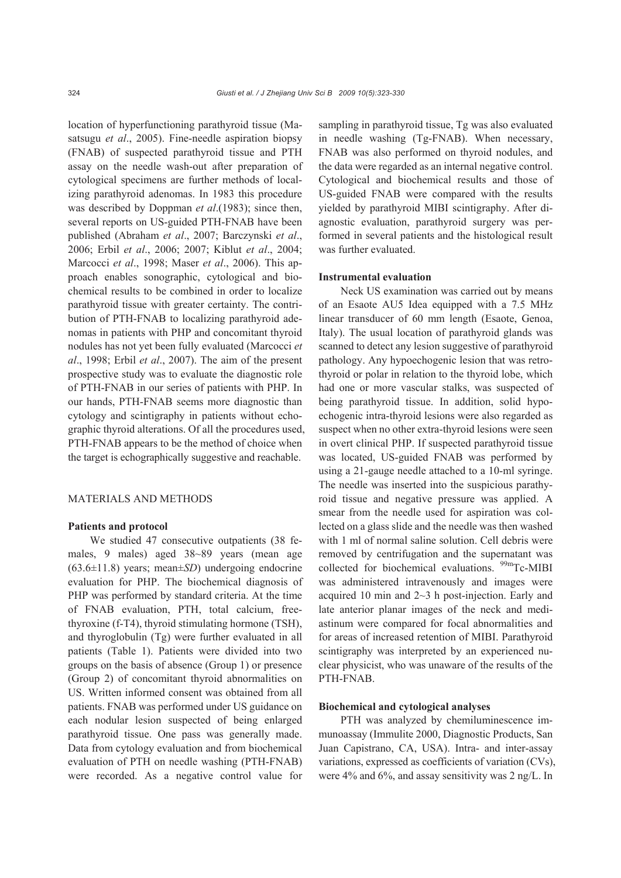location of hyperfunctioning parathyroid tissue (Masatsugu *et al*., 2005). Fine-needle aspiration biopsy (FNAB) of suspected parathyroid tissue and PTH assay on the needle wash-out after preparation of cytological specimens are further methods of localizing parathyroid adenomas. In 1983 this procedure was described by Doppman *et al*.(1983); since then, several reports on US-guided PTH-FNAB have been published (Abraham *et al*., 2007; Barczynski *et al*., 2006; Erbil *et al*., 2006; 2007; Kiblut *et al*., 2004; Marcocci *et al*., 1998; Maser *et al*., 2006). This approach enables sonographic, cytological and biochemical results to be combined in order to localize parathyroid tissue with greater certainty. The contribution of PTH-FNAB to localizing parathyroid adenomas in patients with PHP and concomitant thyroid nodules has not yet been fully evaluated (Marcocci *et al*., 1998; Erbil *et al*., 2007). The aim of the present prospective study was to evaluate the diagnostic role of PTH-FNAB in our series of patients with PHP. In our hands, PTH-FNAB seems more diagnostic than cytology and scintigraphy in patients without echographic thyroid alterations. Of all the procedures used, PTH-FNAB appears to be the method of choice when the target is echographically suggestive and reachable.

# MATERIALS AND METHODS

#### **Patients and protocol**

We studied 47 consecutive outpatients (38 females, 9 males) aged 38~89 years (mean age (63.6±11.8) years; mean±*SD*) undergoing endocrine evaluation for PHP. The biochemical diagnosis of PHP was performed by standard criteria. At the time of FNAB evaluation, PTH, total calcium, freethyroxine (f-T4), thyroid stimulating hormone (TSH), and thyroglobulin (Tg) were further evaluated in all patients (Table 1). Patients were divided into two groups on the basis of absence (Group 1) or presence (Group 2) of concomitant thyroid abnormalities on US. Written informed consent was obtained from all patients. FNAB was performed under US guidance on each nodular lesion suspected of being enlarged parathyroid tissue. One pass was generally made. Data from cytology evaluation and from biochemical evaluation of PTH on needle washing (PTH-FNAB) were recorded. As a negative control value for

sampling in parathyroid tissue, Tg was also evaluated in needle washing (Tg-FNAB). When necessary, FNAB was also performed on thyroid nodules, and the data were regarded as an internal negative control. Cytological and biochemical results and those of US-guided FNAB were compared with the results yielded by parathyroid MIBI scintigraphy. After diagnostic evaluation, parathyroid surgery was performed in several patients and the histological result was further evaluated.

#### **Instrumental evaluation**

Neck US examination was carried out by means of an Esaote AU5 Idea equipped with a 7.5 MHz linear transducer of 60 mm length (Esaote, Genoa, Italy). The usual location of parathyroid glands was scanned to detect any lesion suggestive of parathyroid pathology. Any hypoechogenic lesion that was retrothyroid or polar in relation to the thyroid lobe, which had one or more vascular stalks, was suspected of being parathyroid tissue. In addition, solid hypoechogenic intra-thyroid lesions were also regarded as suspect when no other extra-thyroid lesions were seen in overt clinical PHP. If suspected parathyroid tissue was located, US-guided FNAB was performed by using a 21-gauge needle attached to a 10-ml syringe. The needle was inserted into the suspicious parathyroid tissue and negative pressure was applied. A smear from the needle used for aspiration was collected on a glass slide and the needle was then washed with 1 ml of normal saline solution. Cell debris were removed by centrifugation and the supernatant was collected for biochemical evaluations. <sup>99m</sup>Tc-MIBI was administered intravenously and images were acquired 10 min and 2~3 h post-injection. Early and late anterior planar images of the neck and mediastinum were compared for focal abnormalities and for areas of increased retention of MIBI. Parathyroid scintigraphy was interpreted by an experienced nuclear physicist, who was unaware of the results of the PTH-FNAB.

#### **Biochemical and cytological analyses**

PTH was analyzed by chemiluminescence immunoassay (Immulite 2000, Diagnostic Products, San Juan Capistrano, CA, USA). Intra- and inter-assay variations, expressed as coefficients of variation (CVs), were 4% and 6%, and assay sensitivity was 2 ng/L. In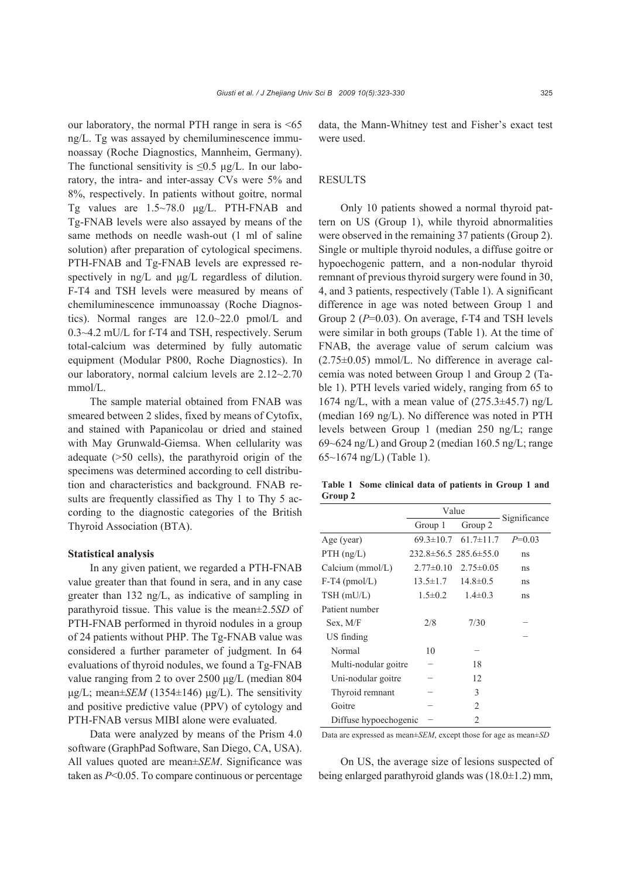our laboratory, the normal PTH range in sera is <65 ng/L. Tg was assayed by chemiluminescence immunoassay (Roche Diagnostics, Mannheim, Germany). The functional sensitivity is  $\leq 0.5$  µg/L. In our laboratory, the intra- and inter-assay CVs were 5% and 8%, respectively. In patients without goitre, normal Tg values are 1.5~78.0 μg/L. PTH-FNAB and Tg-FNAB levels were also assayed by means of the same methods on needle wash-out (1 ml of saline solution) after preparation of cytological specimens. PTH-FNAB and Tg-FNAB levels are expressed respectively in ng/L and μg/L regardless of dilution. F-T4 and TSH levels were measured by means of chemiluminescence immunoassay (Roche Diagnostics). Normal ranges are 12.0~22.0 pmol/L and 0.3~4.2 mU/L for f-T4 and TSH, respectively. Serum total-calcium was determined by fully automatic equipment (Modular P800, Roche Diagnostics). In our laboratory, normal calcium levels are 2.12~2.70 mmol/L.

The sample material obtained from FNAB was smeared between 2 slides, fixed by means of Cytofix, and stained with Papanicolau or dried and stained with May Grunwald-Giemsa. When cellularity was adequate (>50 cells), the parathyroid origin of the specimens was determined according to cell distribution and characteristics and background. FNAB results are frequently classified as Thy 1 to Thy 5 according to the diagnostic categories of the British Thyroid Association (BTA).

### **Statistical analysis**

In any given patient, we regarded a PTH-FNAB value greater than that found in sera, and in any case greater than 132 ng/L, as indicative of sampling in parathyroid tissue. This value is the mean±2.5*SD* of PTH-FNAB performed in thyroid nodules in a group of 24 patients without PHP. The Tg-FNAB value was considered a further parameter of judgment. In 64 evaluations of thyroid nodules, we found a Tg-FNAB value ranging from 2 to over 2500 μg/L (median 804 μg/L; mean±*SEM* (1354±146) μg/L). The sensitivity and positive predictive value (PPV) of cytology and PTH-FNAB versus MIBI alone were evaluated.

Data were analyzed by means of the Prism 4.0 software (GraphPad Software, San Diego, CA, USA). All values quoted are mean±*SEM*. Significance was taken as *P*<0.05. To compare continuous or percentage data, the Mann-Whitney test and Fisher's exact test were used.

## **RESULTS**

Only 10 patients showed a normal thyroid pattern on US (Group 1), while thyroid abnormalities were observed in the remaining 37 patients (Group 2). Single or multiple thyroid nodules, a diffuse goitre or hypoechogenic pattern, and a non-nodular thyroid remnant of previous thyroid surgery were found in 30, 4, and 3 patients, respectively (Table 1). A significant difference in age was noted between Group 1 and Group 2 (*P*=0.03). On average, f-T4 and TSH levels were similar in both groups (Table 1). At the time of FNAB, the average value of serum calcium was (2.75±0.05) mmol/L. No difference in average calcemia was noted between Group 1 and Group 2 (Table 1). PTH levels varied widely, ranging from 65 to 1674 ng/L, with a mean value of  $(275.3\pm45.7)$  ng/L (median 169 ng/L). No difference was noted in PTH levels between Group 1 (median 250 ng/L; range 69~624 ng/L) and Group 2 (median 160.5 ng/L; range 65~1674 ng/L) (Table 1).

**Table 1 Some clinical data of patients in Group 1 and Group 2** 

|                       | Value          | Significance                      |          |
|-----------------------|----------------|-----------------------------------|----------|
|                       | Group 1        | Group 2                           |          |
| Age (year)            |                | $69.3 \pm 10.7$ $61.7 \pm 11.7$   | $P=0.03$ |
| $PTH$ (ng/L)          |                | $232.8 \pm 56.5$ 285.6 $\pm 55.0$ | ns       |
| Calcium $(mmol/L)$    |                | $2.77\pm0.10$ $2.75\pm0.05$       | ns       |
| $F-T4$ (pmol/L)       | $13.5 \pm 1.7$ | $14.8 \pm 0.5$                    | ns       |
| $TSH$ (mU/L)          | $1.5 \pm 0.2$  | $1.4 \pm 0.3$                     | ns       |
| Patient number        |                |                                   |          |
| Sex, M/F              | 2/8            | 7/30                              |          |
| US finding            |                |                                   |          |
| Normal                | 10             |                                   |          |
| Multi-nodular goitre  |                | 18                                |          |
| Uni-nodular goitre    |                | 12                                |          |
| Thyroid remnant       |                | 3                                 |          |
| Goitre                |                | 2                                 |          |
| Diffuse hypoechogenic |                | 2                                 |          |
|                       |                |                                   |          |

Data are expressed as mean±*SEM*, except those for age as mean±*SD*

On US, the average size of lesions suspected of being enlarged parathyroid glands was  $(18.0\pm1.2)$  mm,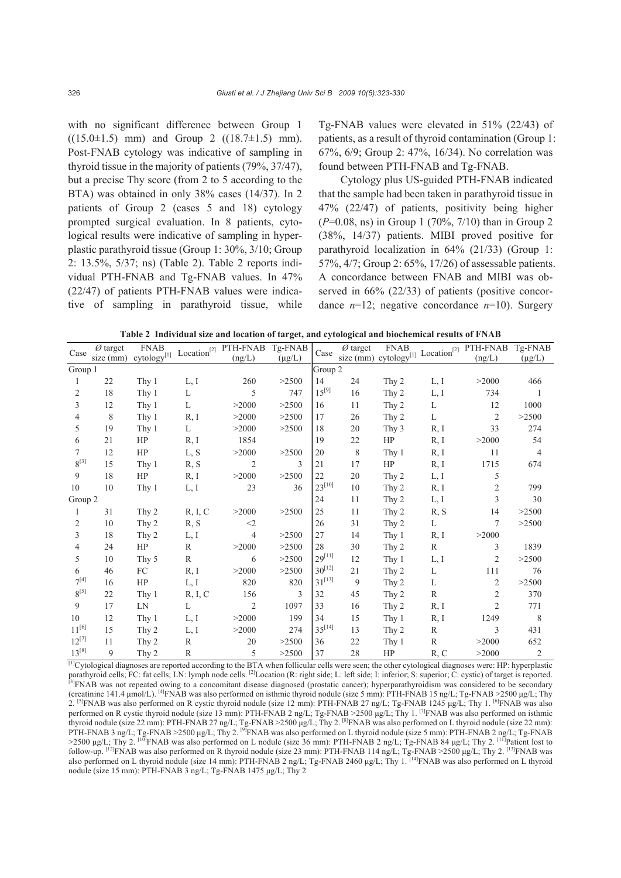with no significant difference between Group 1  $((15.0\pm1.5)$  mm) and Group 2  $((18.7\pm1.5)$  mm). Post-FNAB cytology was indicative of sampling in thyroid tissue in the majority of patients (79%, 37/47), but a precise Thy score (from 2 to 5 according to the BTA) was obtained in only 38% cases (14/37). In 2 patients of Group 2 (cases 5 and 18) cytology prompted surgical evaluation. In 8 patients, cytological results were indicative of sampling in hyperplastic parathyroid tissue (Group 1: 30%, 3/10; Group 2: 13.5%, 5/37; ns) (Table 2). Table 2 reports individual PTH-FNAB and Tg-FNAB values. In 47% (22/47) of patients PTH-FNAB values were indicative of sampling in parathyroid tissue, while

Tg-FNAB values were elevated in 51% (22/43) of patients, as a result of thyroid contamination (Group 1: 67%, 6/9; Group 2: 47%, 16/34). No correlation was found between PTH-FNAB and Tg-FNAB.

Cytology plus US-guided PTH-FNAB indicated that the sample had been taken in parathyroid tissue in 47% (22/47) of patients, positivity being higher (*P*=0.08, ns) in Group 1 (70%, 7/10) than in Group 2 (38%, 14/37) patients. MIBI proved positive for parathyroid localization in 64% (21/33) (Group 1: 57%, 4/7; Group 2: 65%, 17/26) of assessable patients. A concordance between FNAB and MIBI was observed in 66% (22/33) of patients (positive concordance  $n=12$ ; negative concordance  $n=10$ ). Surgery

**Table 2 Individual size and location of target, and cytological and biochemical results of FNAB**

| Case       | $\varnothing$ target |       |              | cytology <sup>[1]</sup> Location <sup>[2]</sup> PTH-FNAB | Tg-FNAB       | Case        |    |       |              | $\frac{\text{size (mm) cytology}}{2} \cdot \frac{1 \cdot \text{total}}{\text{constant}^{[2]}} \cdot \frac{\text{PTH-FNAB} \cdot \text{Tg-FNAB}}{\text{mean}^{[2]}}$ |                |
|------------|----------------------|-------|--------------|----------------------------------------------------------|---------------|-------------|----|-------|--------------|---------------------------------------------------------------------------------------------------------------------------------------------------------------------|----------------|
|            | size (mm)            |       |              |                                                          | $(\mu g/L)$   |             |    |       |              |                                                                                                                                                                     |                |
|            | Group 1              |       |              |                                                          |               | Group 2     |    |       |              |                                                                                                                                                                     |                |
|            | 22                   | Thy 1 | L, I         | 260                                                      | >2500         | 14          | 24 | Thy 2 | L, I         | >2000                                                                                                                                                               | 466            |
| 2          | 18                   | Thy 1 | L            | 5                                                        | 747           | $15^{[9]}$  | 16 | Thy 2 | L, I         | 734                                                                                                                                                                 |                |
| 3          | 12                   | Thy 1 | L            | >2000                                                    | >2500         | 16          | 11 | Thy 2 | L            | 12                                                                                                                                                                  | 1000           |
| 4          | 8                    | Thy 1 | R, I         | >2000                                                    | >2500         | 17          | 26 | Thy 2 | L            | $\overline{2}$                                                                                                                                                      | >2500          |
| 5          | 19                   | Thy 1 | L            | >2000                                                    | >2500         | 18          | 20 | Thy 3 | R, I         | 33                                                                                                                                                                  | 274            |
| 6          | 21                   | HP    | R, I         | 1854                                                     |               | 19          | 22 | HP    | R, I         | >2000                                                                                                                                                               | 54             |
| 7          | 12                   | HP    | L, S         | >2000                                                    | >2500         | 20          | 8  | Thy 1 | R, I         | 11                                                                                                                                                                  | $\overline{4}$ |
| $8^{[3]}$  | 15                   | Thy 1 | R, S         | $\overline{2}$                                           | $\mathcal{E}$ | 21          | 17 | HP    | R, I         | 1715                                                                                                                                                                | 674            |
| 9          | 18                   | HP    | R, I         | >2000                                                    | >2500         | 22          | 20 | Thy 2 | L, I         | 5                                                                                                                                                                   |                |
| 10         | 10                   | Thy 1 | L, I         | 23                                                       | 36            | $23^{[10]}$ | 10 | Thy 2 | R, I         | $\overline{c}$                                                                                                                                                      | 799            |
| Group 2    |                      |       |              |                                                          |               | 24          | 11 | Thy 2 | L, I         | 3                                                                                                                                                                   | 30             |
|            | 31                   | Thy 2 | R, I, C      | >2000                                                    | >2500         | 25          | 11 | Thy 2 | R, S         | 14                                                                                                                                                                  | >2500          |
| 2          | 10                   | Thy 2 | R, S         | $<$ 2                                                    |               | 26          | 31 | Thy 2 | L            | 7                                                                                                                                                                   | >2500          |
| 3          | 18                   | Thy 2 | L, I         | $\overline{4}$                                           | >2500         | 27          | 14 | Thy 1 | R, I         | >2000                                                                                                                                                               |                |
| 4          | 24                   | HP    | $\mathbb{R}$ | >2000                                                    | >2500         | 28          | 30 | Thy 2 | $\mathbb{R}$ | 3                                                                                                                                                                   | 1839           |
| 5          | 10                   | Thy 5 | $\mathbb{R}$ | 6                                                        | >2500         | $29^{[11]}$ | 12 | Thy 1 | L, I         | $\overline{2}$                                                                                                                                                      | >2500          |
| 6          | 46                   | FC    | R, I         | >2000                                                    | >2500         | $30^{[12]}$ | 21 | Thy 2 | L            | 111                                                                                                                                                                 | 76             |
| $7^{[4]}$  | 16                   | HP    | L, I         | 820                                                      | 820           | $31^{[13]}$ | 9  | Thy 2 | L            | 2                                                                                                                                                                   | >2500          |
| $8^{[5]}$  | 22                   | Thy 1 | R, I, C      | 156                                                      | 3             | 32          | 45 | Thy 2 | R            | $\overline{2}$                                                                                                                                                      | 370            |
| 9          | 17                   | LN    | L            | 2                                                        | 1097          | 33          | 16 | Thy 2 | R, I         | $\overline{2}$                                                                                                                                                      | 771            |
| 10         | 12                   | Thy 1 | L, I         | >2000                                                    | 199           | 34          | 15 | Thy 1 | R, I         | 1249                                                                                                                                                                | 8              |
| $11^{[6]}$ | 15                   | Thy 2 | L, I         | >2000                                                    | 274           | $35^{[14]}$ | 13 | Thy 2 | R            | 3                                                                                                                                                                   | 431            |
| $12^{[7]}$ | 11                   | Thy 2 | R            | 20                                                       | >2500         | 36          | 22 | Thy 1 | $\mathbb{R}$ | >2000                                                                                                                                                               | 652            |
| $13^{[8]}$ | 9                    | Thy 2 | R            | 5                                                        | >2500         | 37          | 28 | HP    | R, C         | >2000                                                                                                                                                               | 2              |

 $[1]$ Cytological diagnoses are reported according to the BTA when follicular cells were seen; the other cytological diagnoses were: HP: hyperplastic parathyroid cells; FC: fat cells; LN: lymph node cells. <sup>[2]</sup>Location (R: right side; L: left side; I: inferior; S: superior; C: cystic) of target is reported. <sup>[3]</sup>FNAB was not repeated owing to a concomitant disease diagnosed (prostatic cancer); hyperparathyroidism was considered to be secondary (creatinine 141.4 μmol/L). [4]FNAB was also performed on isthmic thyroid nodule (size 5 mm): PTH-FNAB 15 ng/L; Tg-FNAB >2500 μg/L; Thy 2. [5]FNAB was also performed on R cystic thyroid nodule (size 12 mm): PTH-FNAB 27 ng/L; Tg-FNAB 1245 μg/L; Thy 1. [6]FNAB was also performed on R cystic thyroid nodule (size 13 mm): PTH-FNAB 2 ng/L; Tg-FNAB >2500 μg/L; Thy 1. [7]FNAB was also performed on isthmic thyroid nodule (size 22 mm): PTH-FNAB 27 ng/L; Tg-FNAB >2500 μg/L; Thy 2. [8]FNAB was also performed on L thyroid nodule (size 22 mm): PTH-FNAB 3 ng/L; Tg-FNAB >2500 μg/L; Thy 2. [9]FNAB was also performed on L thyroid nodule (size 5 mm): PTH-FNAB 2 ng/L; Tg-FNAB >2500 μg/L; Thy 2. <sup>[10]</sup>FNAB was also performed on L nodule (size 36 mm): PTH-FNAB 2 ng/L; Tg-FNAB 84 μg/L; Thy 2. <sup>[11]</sup>Patient lost to follow-up.  $[12]$ FNAB was also performed on R thyroid nodule (size 23 mm): PTH-FNAB 114 ng/L; Tg-FNAB >2500 μg/L; Thy 2.  $[13]$ FNAB was also performed on L thyroid nodule (size 14 mm): PTH-FNAB 2 ng/L; Tg-FNAB 2460 µg/L; Thy 1. [<sup>14]</sup>FNAB was also performed on L thyroid nodule (size 15 mm): PTH-FNAB 3 ng/L; Tg-FNAB 1475 μg/L; Thy 2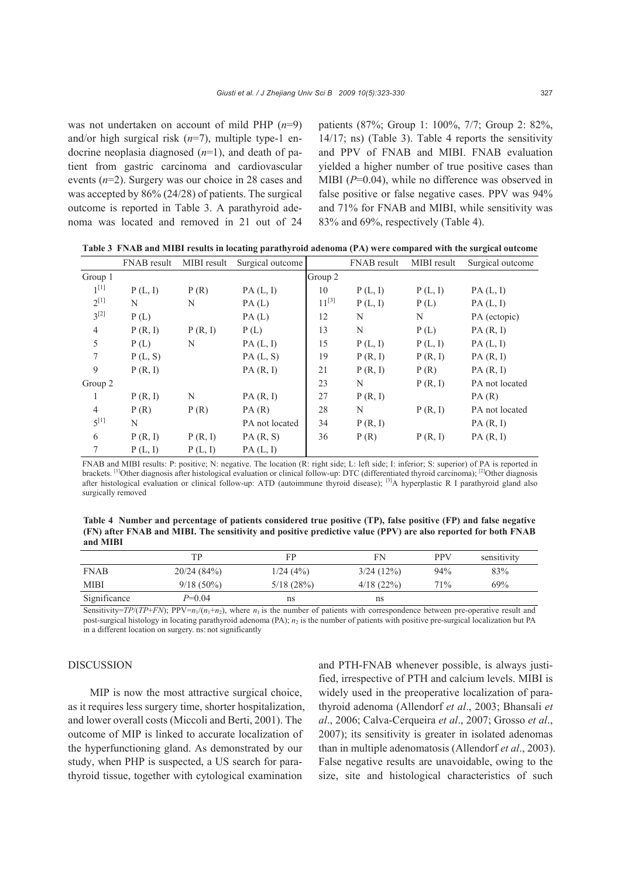was not undertaken on account of mild PHP (*n*=9) and/or high surgical risk (*n*=7), multiple type-1 endocrine neoplasia diagnosed (*n*=1), and death of patient from gastric carcinoma and cardiovascular events (*n*=2). Surgery was our choice in 28 cases and was accepted by 86% (24/28) of patients. The surgical outcome is reported in Table 3. A parathyroid adenoma was located and removed in 21 out of 24 patients (87%; Group 1: 100%, 7/7; Group 2: 82%, 14/17; ns) (Table 3). Table 4 reports the sensitivity and PPV of FNAB and MIBI. FNAB evaluation yielded a higher number of true positive cases than MIBI ( $P=0.04$ ), while no difference was observed in false positive or false negative cases. PPV was 94% and 71% for FNAB and MIBI, while sensitivity was 83% and 69%, respectively (Table 4).

|  | Table 3 FNAB and MIBI results in locating parathyroid adenoma (PA) were compared with the surgical outcome |  |  |
|--|------------------------------------------------------------------------------------------------------------|--|--|
|--|------------------------------------------------------------------------------------------------------------|--|--|

|                | FNAB result | MIBI result | Surgical outcome |            | FNAB result | MIBI result | Surgical outcome |
|----------------|-------------|-------------|------------------|------------|-------------|-------------|------------------|
| Group 1        |             |             |                  | Group 2    |             |             |                  |
| $1^{[1]}$      | P(L, I)     | P(R)        | PA(L, I)         | 10         | P(L, I)     | P(L, I)     | PA(L, I)         |
| $2^{[1]}$      | N           | N           | PA(L)            | $11^{[3]}$ | P(L, I)     | P(L)        | PA(L, I)         |
| $3^{[2]}$      | P(L)        |             | PA(L)            | 12         | N           | N           | PA (ectopic)     |
| $\overline{4}$ | P(R, I)     | P(R, I)     | P(L)             | 13         | N           | P(L)        | PA(R, I)         |
| 5              | P(L)        | N           | PA(L, I)         | 15         | P(L, I)     | P(L, I)     | PA(L, I)         |
| 7              | P(L, S)     |             | PA(L, S)         | 19         | P(R, I)     | P(R, I)     | PA(R, I)         |
| 9              | P(R, I)     |             | PA(R, I)         | 21         | P(R, I)     | P(R)        | PA(R, I)         |
| Group 2        |             |             |                  | 23         | N           | P(R, I)     | PA not located   |
| 1              | P(R, I)     | N           | PA(R, I)         | 27         | P(R, I)     |             | PA(R)            |
| $\overline{4}$ | P(R)        | P(R)        | PA(R)            | 28         | N           | P(R, I)     | PA not located   |
| $5^{[1]}$      | N           |             | PA not located   | 34         | P(R, I)     |             | PA(R, I)         |
| 6              | P(R, I)     | P(R, I)     | PA(R, S)         | 36         | P(R)        | P(R, I)     | PA(R, I)         |
| 7              | P(L, I)     | P(L, I)     | PA(L, I)         |            |             |             |                  |

FNAB and MIBI results: P: positive; N: negative. The location (R: right side; L: left side; I: inferior; S: superior) of PA is reported in brackets. <sup>[1]</sup>Other diagnosis after histological evaluation or clinical follow-up: DTC (differentiated thyroid carcinoma); <sup>[2]</sup>Other diagnosis after histological evaluation or clinical follow-up: ATD (autoimmune thyroid disease); <sup>[3]</sup>A hyperplastic R I parathyroid gland also surgically removed

**Table 4 Number and percentage of patients considered true positive (TP), false positive (FP) and false negative (FN) after FNAB and MIBI. The sensitivity and positive predictive value (PPV) are also reported for both FNAB and MIBI**

|              | TР           | FP        | FN        | <b>PPV</b> | sensitivity |
|--------------|--------------|-----------|-----------|------------|-------------|
| <b>FNAB</b>  | 20/24(84%)   | 1/24(4%)  | 3/24(12%) | 94%        | 83%         |
| <b>MIBI</b>  | $9/18(50\%)$ | 5/18(28%) | 4/18(22%) | 71%        | 69%         |
| Significance | P=0.04       | ns        | ns        |            |             |

Sensitivity=*TP*/(*TP*+*FN*); PPV= $n_1/(n_1+n_2)$ , where  $n_1$  is the number of patients with correspondence between pre-operative result and post-surgical histology in locating parathyroid adenoma (PA);  $n_2$  is the number of patients with positive pre-surgical localization but PA in a different location on surgery. ns: not significantly

#### DISCUSSION

MIP is now the most attractive surgical choice, as it requires less surgery time, shorter hospitalization, and lower overall costs (Miccoli and Berti, 2001). The outcome of MIP is linked to accurate localization of the hyperfunctioning gland. As demonstrated by our study, when PHP is suspected, a US search for parathyroid tissue, together with cytological examination

and PTH-FNAB whenever possible, is always justified, irrespective of PTH and calcium levels. MIBI is widely used in the preoperative localization of parathyroid adenoma (Allendorf *et al*., 2003; Bhansali *et al*., 2006; Calva-Cerqueira *et al*., 2007; Grosso *et al*., 2007); its sensitivity is greater in isolated adenomas than in multiple adenomatosis (Allendorf *et al*., 2003). False negative results are unavoidable, owing to the size, site and histological characteristics of such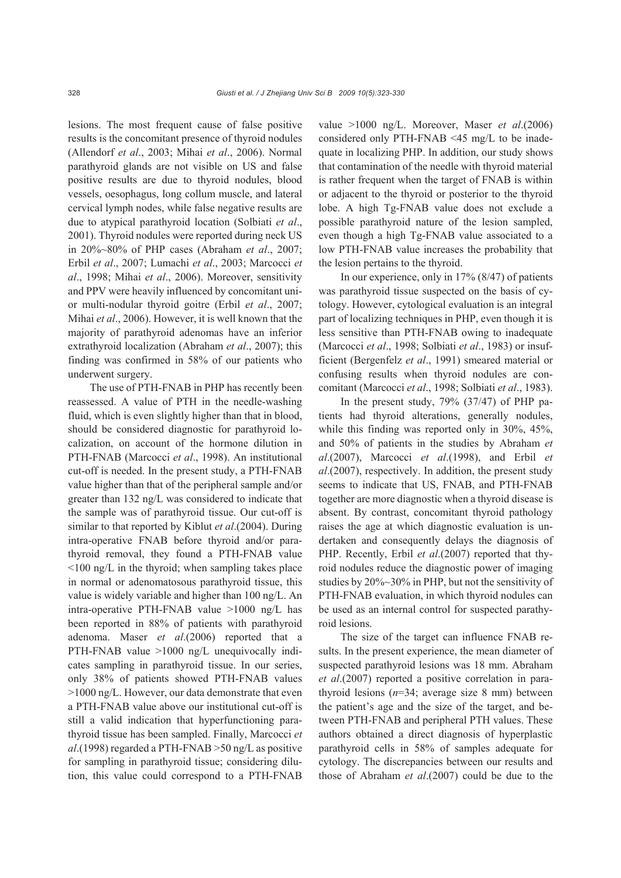lesions. The most frequent cause of false positive results is the concomitant presence of thyroid nodules (Allendorf *et al*., 2003; Mihai *et al*., 2006). Normal parathyroid glands are not visible on US and false positive results are due to thyroid nodules, blood vessels, oesophagus, long collum muscle, and lateral cervical lymph nodes, while false negative results are due to atypical parathyroid location (Solbiati *et al*., 2001). Thyroid nodules were reported during neck US in 20%~80% of PHP cases (Abraham *et al*., 2007; Erbil *et al*., 2007; Lumachi *et al*., 2003; Marcocci *et al*., 1998; Mihai *et al*., 2006). Moreover, sensitivity and PPV were heavily influenced by concomitant unior multi-nodular thyroid goitre (Erbil *et al*., 2007; Mihai *et al*., 2006). However, it is well known that the majority of parathyroid adenomas have an inferior extrathyroid localization (Abraham *et al*., 2007); this finding was confirmed in 58% of our patients who underwent surgery.

The use of PTH-FNAB in PHP has recently been reassessed. A value of PTH in the needle-washing fluid, which is even slightly higher than that in blood, should be considered diagnostic for parathyroid localization, on account of the hormone dilution in PTH-FNAB (Marcocci *et al*., 1998). An institutional cut-off is needed. In the present study, a PTH-FNAB value higher than that of the peripheral sample and/or greater than 132 ng/L was considered to indicate that the sample was of parathyroid tissue. Our cut-off is similar to that reported by Kiblut *et al*.(2004). During intra-operative FNAB before thyroid and/or parathyroid removal, they found a PTH-FNAB value <100 ng/L in the thyroid; when sampling takes place in normal or adenomatosous parathyroid tissue, this value is widely variable and higher than 100 ng/L. An intra-operative PTH-FNAB value >1000 ng/L has been reported in 88% of patients with parathyroid adenoma. Maser *et al*.(2006) reported that a PTH-FNAB value >1000 ng/L unequivocally indicates sampling in parathyroid tissue. In our series, only 38% of patients showed PTH-FNAB values >1000 ng/L. However, our data demonstrate that even a PTH-FNAB value above our institutional cut-off is still a valid indication that hyperfunctioning parathyroid tissue has been sampled. Finally, Marcocci *et al*.(1998) regarded a PTH-FNAB >50 ng/L as positive for sampling in parathyroid tissue; considering dilution, this value could correspond to a PTH-FNAB

value >1000 ng/L. Moreover, Maser *et al*.(2006) considered only PTH-FNAB <45 mg/L to be inadequate in localizing PHP. In addition, our study shows that contamination of the needle with thyroid material is rather frequent when the target of FNAB is within or adjacent to the thyroid or posterior to the thyroid lobe. A high Tg-FNAB value does not exclude a possible parathyroid nature of the lesion sampled, even though a high Tg-FNAB value associated to a low PTH-FNAB value increases the probability that the lesion pertains to the thyroid.

In our experience, only in 17% (8/47) of patients was parathyroid tissue suspected on the basis of cytology. However, cytological evaluation is an integral part of localizing techniques in PHP, even though it is less sensitive than PTH-FNAB owing to inadequate (Marcocci *et al*., 1998; Solbiati *et al*., 1983) or insufficient (Bergenfelz *et al*., 1991) smeared material or confusing results when thyroid nodules are concomitant (Marcocci *et al*., 1998; Solbiati *et al*., 1983).

In the present study, 79% (37/47) of PHP patients had thyroid alterations, generally nodules, while this finding was reported only in 30%, 45%, and 50% of patients in the studies by Abraham *et al*.(2007), Marcocci *et al*.(1998), and Erbil *et al*.(2007), respectively. In addition, the present study seems to indicate that US, FNAB, and PTH-FNAB together are more diagnostic when a thyroid disease is absent. By contrast, concomitant thyroid pathology raises the age at which diagnostic evaluation is undertaken and consequently delays the diagnosis of PHP. Recently, Erbil *et al*.(2007) reported that thyroid nodules reduce the diagnostic power of imaging studies by 20%~30% in PHP, but not the sensitivity of PTH-FNAB evaluation, in which thyroid nodules can be used as an internal control for suspected parathyroid lesions.

The size of the target can influence FNAB results. In the present experience, the mean diameter of suspected parathyroid lesions was 18 mm. Abraham *et al*.(2007) reported a positive correlation in parathyroid lesions (*n*=34; average size 8 mm) between the patient's age and the size of the target, and between PTH-FNAB and peripheral PTH values. These authors obtained a direct diagnosis of hyperplastic parathyroid cells in 58% of samples adequate for cytology. The discrepancies between our results and those of Abraham *et al*.(2007) could be due to the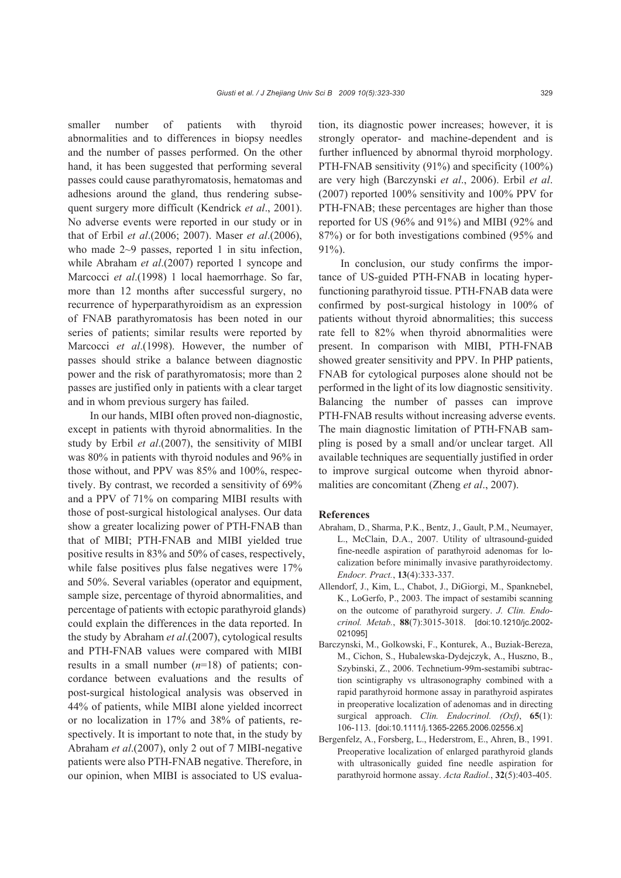smaller number of patients with thyroid abnormalities and to differences in biopsy needles and the number of passes performed. On the other hand, it has been suggested that performing several passes could cause parathyromatosis, hematomas and adhesions around the gland, thus rendering subsequent surgery more difficult (Kendrick *et al*., 2001). No adverse events were reported in our study or in that of Erbil *et al*.(2006; 2007). Maser *et al*.(2006), who made 2~9 passes, reported 1 in situ infection, while Abraham *et al*.(2007) reported 1 syncope and Marcocci *et al*.(1998) 1 local haemorrhage. So far, more than 12 months after successful surgery, no recurrence of hyperparathyroidism as an expression of FNAB parathyromatosis has been noted in our series of patients; similar results were reported by Marcocci *et al*.(1998). However, the number of passes should strike a balance between diagnostic power and the risk of parathyromatosis; more than 2 passes are justified only in patients with a clear target and in whom previous surgery has failed.

In our hands, MIBI often proved non-diagnostic, except in patients with thyroid abnormalities. In the study by Erbil *et al*.(2007), the sensitivity of MIBI was 80% in patients with thyroid nodules and 96% in those without, and PPV was 85% and 100%, respectively. By contrast, we recorded a sensitivity of 69% and a PPV of 71% on comparing MIBI results with those of post-surgical histological analyses. Our data show a greater localizing power of PTH-FNAB than that of MIBI; PTH-FNAB and MIBI yielded true positive results in 83% and 50% of cases, respectively, while false positives plus false negatives were 17% and 50%. Several variables (operator and equipment, sample size, percentage of thyroid abnormalities, and percentage of patients with ectopic parathyroid glands) could explain the differences in the data reported. In the study by Abraham *et al*.(2007), cytological results and PTH-FNAB values were compared with MIBI results in a small number (*n*=18) of patients; concordance between evaluations and the results of post-surgical histological analysis was observed in 44% of patients, while MIBI alone yielded incorrect or no localization in 17% and 38% of patients, respectively. It is important to note that, in the study by Abraham *et al*.(2007), only 2 out of 7 MIBI-negative patients were also PTH-FNAB negative. Therefore, in our opinion, when MIBI is associated to US evaluation, its diagnostic power increases; however, it is strongly operator- and machine-dependent and is further influenced by abnormal thyroid morphology. PTH-FNAB sensitivity (91%) and specificity (100%) are very high (Barczynski *et al*., 2006). Erbil *et al*. (2007) reported 100% sensitivity and 100% PPV for PTH-FNAB; these percentages are higher than those reported for US (96% and 91%) and MIBI (92% and 87%) or for both investigations combined (95% and 91%).

In conclusion, our study confirms the importance of US-guided PTH-FNAB in locating hyperfunctioning parathyroid tissue. PTH-FNAB data were confirmed by post-surgical histology in 100% of patients without thyroid abnormalities; this success rate fell to 82% when thyroid abnormalities were present. In comparison with MIBI, PTH-FNAB showed greater sensitivity and PPV. In PHP patients, FNAB for cytological purposes alone should not be performed in the light of its low diagnostic sensitivity. Balancing the number of passes can improve PTH-FNAB results without increasing adverse events. The main diagnostic limitation of PTH-FNAB sampling is posed by a small and/or unclear target. All available techniques are sequentially justified in order to improve surgical outcome when thyroid abnormalities are concomitant (Zheng *et al*., 2007).

#### **References**

- Abraham, D., Sharma, P.K., Bentz, J., Gault, P.M., Neumayer, L., McClain, D.A., 2007. Utility of ultrasound-guided fine-needle aspiration of parathyroid adenomas for localization before minimally invasive parathyroidectomy. *Endocr. Pract.*, **13**(4):333-337.
- Allendorf, J., Kim, L., Chabot, J., DiGiorgi, M., Spanknebel, K., LoGerfo, P., 2003. The impact of sestamibi scanning on the outcome of parathyroid surgery. *J. Clin. Endocrinol. Metab.*, **88**(7):3015-3018. [doi:10.1210/jc.2002- 021095]
- Barczynski, M., Golkowski, F., Konturek, A., Buziak-Bereza, M., Cichon, S., Hubalewska-Dydejczyk, A., Huszno, B., Szybinski, Z., 2006. Technetium-99m-sestamibi subtraction scintigraphy vs ultrasonography combined with a rapid parathyroid hormone assay in parathyroid aspirates in preoperative localization of adenomas and in directing surgical approach. *Clin. Endocrinol. (Oxf)*, **65**(1): 106-113. [doi:10.1111/j.1365-2265.2006.02556.x]
- Bergenfelz, A., Forsberg, L., Hederstrom, E., Ahren, B., 1991. Preoperative localization of enlarged parathyroid glands with ultrasonically guided fine needle aspiration for parathyroid hormone assay. *Acta Radiol.*, **32**(5):403-405.